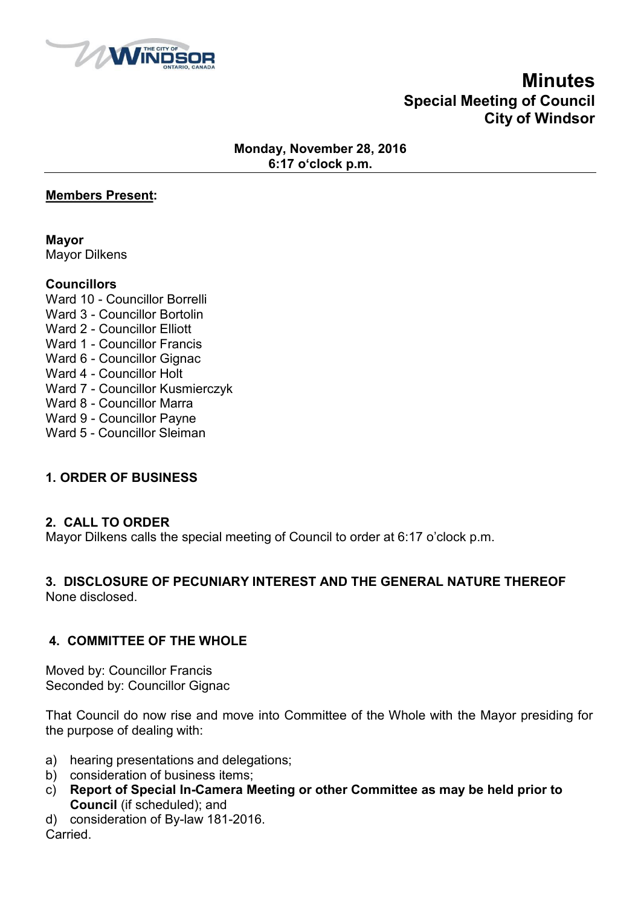

# **Minutes Special Meeting of Council City of Windsor**

## **Monday, November 28, 2016 6:17 o'clock p.m.**

#### **Members Present:**

**Mayor** Mayor Dilkens

## **Councillors**

Ward 10 - Councillor Borrelli Ward 3 - Councillor Bortolin Ward 2 - Councillor Elliott Ward 1 - Councillor Francis Ward 6 - Councillor Gignac Ward 4 - Councillor Holt Ward 7 - Councillor Kusmierczyk Ward 8 - Councillor Marra Ward 9 - Councillor Payne Ward 5 - Councillor Sleiman

# **1. ORDER OF BUSINESS**

#### **2. CALL TO ORDER**

Mayor Dilkens calls the special meeting of Council to order at 6:17 o'clock p.m.

#### **3. DISCLOSURE OF PECUNIARY INTEREST AND THE GENERAL NATURE THEREOF** None disclosed.

# **4. COMMITTEE OF THE WHOLE**

Moved by: Councillor Francis Seconded by: Councillor Gignac

That Council do now rise and move into Committee of the Whole with the Mayor presiding for the purpose of dealing with:

- a) hearing presentations and delegations;
- b) consideration of business items;
- c) **Report of Special In-Camera Meeting or other Committee as may be held prior to Council** (if scheduled); and
- d) consideration of By-law 181-2016.

Carried.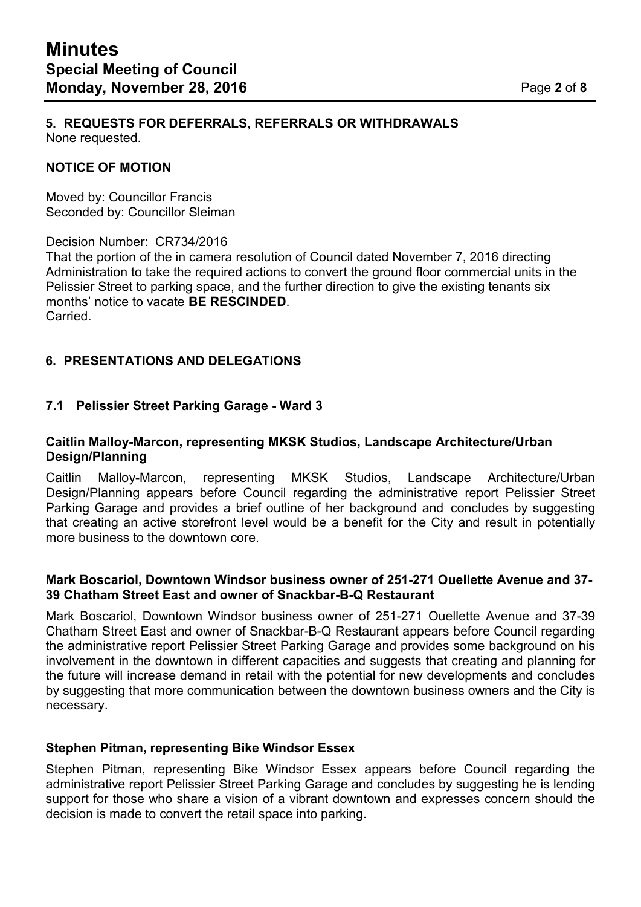#### **5. REQUESTS FOR DEFERRALS, REFERRALS OR WITHDRAWALS** None requested.

## **NOTICE OF MOTION**

Moved by: Councillor Francis Seconded by: Councillor Sleiman

Decision Number: CR734/2016

That the portion of the in camera resolution of Council dated November 7, 2016 directing Administration to take the required actions to convert the ground floor commercial units in the Pelissier Street to parking space, and the further direction to give the existing tenants six months' notice to vacate **BE RESCINDED**. Carried.

# **6. PRESENTATIONS AND DELEGATIONS**

## **7.1 Pelissier Street Parking Garage - Ward 3**

#### **Caitlin Malloy-Marcon, representing MKSK Studios, Landscape Architecture/Urban Design/Planning**

Caitlin Malloy-Marcon, representing MKSK Studios, Landscape Architecture/Urban Design/Planning appears before Council regarding the administrative report Pelissier Street Parking Garage and provides a brief outline of her background and concludes by suggesting that creating an active storefront level would be a benefit for the City and result in potentially more business to the downtown core.

## **Mark Boscariol, Downtown Windsor business owner of 251-271 Ouellette Avenue and 37- 39 Chatham Street East and owner of Snackbar-B-Q Restaurant**

Mark Boscariol, Downtown Windsor business owner of 251-271 Ouellette Avenue and 37-39 Chatham Street East and owner of Snackbar-B-Q Restaurant appears before Council regarding the administrative report Pelissier Street Parking Garage and provides some background on his involvement in the downtown in different capacities and suggests that creating and planning for the future will increase demand in retail with the potential for new developments and concludes by suggesting that more communication between the downtown business owners and the City is necessary.

#### **Stephen Pitman, representing Bike Windsor Essex**

Stephen Pitman, representing Bike Windsor Essex appears before Council regarding the administrative report Pelissier Street Parking Garage and concludes by suggesting he is lending support for those who share a vision of a vibrant downtown and expresses concern should the decision is made to convert the retail space into parking.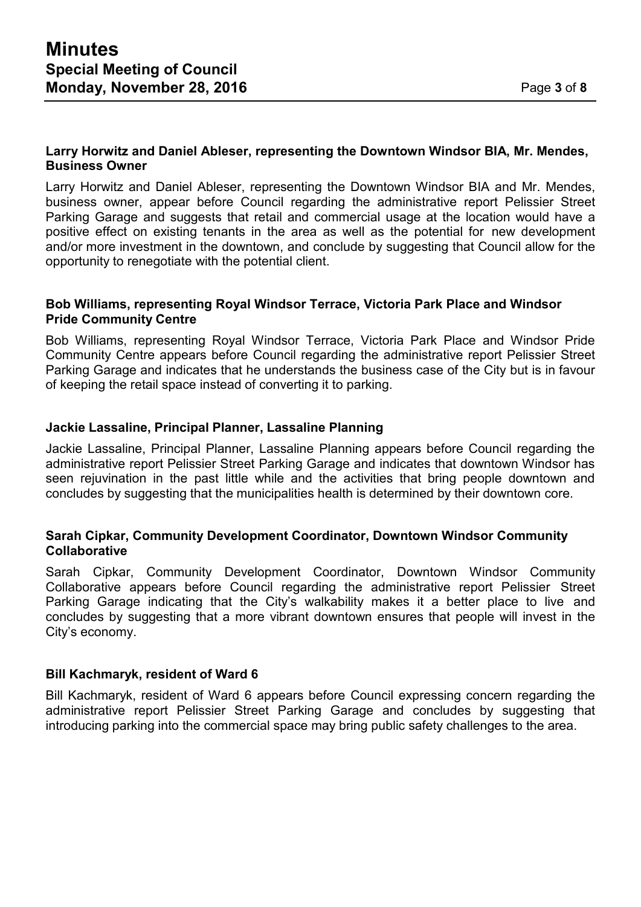#### **Larry Horwitz and Daniel Ableser, representing the Downtown Windsor BIA, Mr. Mendes, Business Owner**

Larry Horwitz and Daniel Ableser, representing the Downtown Windsor BIA and Mr. Mendes, business owner, appear before Council regarding the administrative report Pelissier Street Parking Garage and suggests that retail and commercial usage at the location would have a positive effect on existing tenants in the area as well as the potential for new development and/or more investment in the downtown, and conclude by suggesting that Council allow for the opportunity to renegotiate with the potential client.

#### **Bob Williams, representing Royal Windsor Terrace, Victoria Park Place and Windsor Pride Community Centre**

Bob Williams, representing Royal Windsor Terrace, Victoria Park Place and Windsor Pride Community Centre appears before Council regarding the administrative report Pelissier Street Parking Garage and indicates that he understands the business case of the City but is in favour of keeping the retail space instead of converting it to parking.

## **Jackie Lassaline, Principal Planner, Lassaline Planning**

Jackie Lassaline, Principal Planner, Lassaline Planning appears before Council regarding the administrative report Pelissier Street Parking Garage and indicates that downtown Windsor has seen rejuvination in the past little while and the activities that bring people downtown and concludes by suggesting that the municipalities health is determined by their downtown core.

#### **Sarah Cipkar, Community Development Coordinator, Downtown Windsor Community Collaborative**

Sarah Cipkar, Community Development Coordinator, Downtown Windsor Community Collaborative appears before Council regarding the administrative report Pelissier Street Parking Garage indicating that the City's walkability makes it a better place to live and concludes by suggesting that a more vibrant downtown ensures that people will invest in the City's economy.

# **Bill Kachmaryk, resident of Ward 6**

Bill Kachmaryk, resident of Ward 6 appears before Council expressing concern regarding the administrative report Pelissier Street Parking Garage and concludes by suggesting that introducing parking into the commercial space may bring public safety challenges to the area.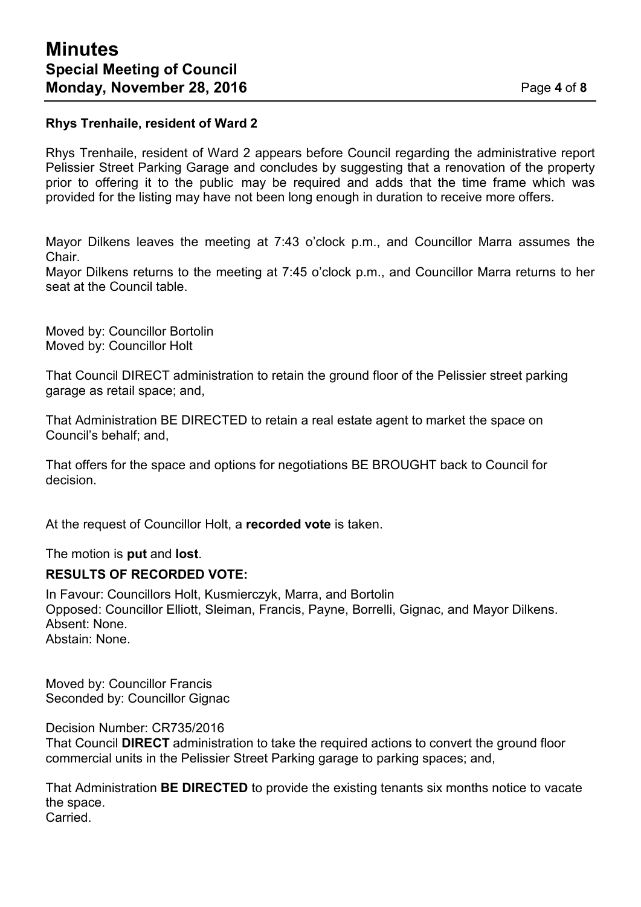#### **Rhys Trenhaile, resident of Ward 2**

Rhys Trenhaile, resident of Ward 2 appears before Council regarding the administrative report Pelissier Street Parking Garage and concludes by suggesting that a renovation of the property prior to offering it to the public may be required and adds that the time frame which was provided for the listing may have not been long enough in duration to receive more offers.

Mayor Dilkens leaves the meeting at 7:43 o'clock p.m., and Councillor Marra assumes the Chair.

Mayor Dilkens returns to the meeting at 7:45 o'clock p.m., and Councillor Marra returns to her seat at the Council table.

Moved by: Councillor Bortolin Moved by: Councillor Holt

That Council DIRECT administration to retain the ground floor of the Pelissier street parking garage as retail space; and,

That Administration BE DIRECTED to retain a real estate agent to market the space on Council's behalf; and,

That offers for the space and options for negotiations BE BROUGHT back to Council for decision.

At the request of Councillor Holt, a **recorded vote** is taken.

The motion is **put** and **lost**.

#### **RESULTS OF RECORDED VOTE:**

In Favour: Councillors Holt, Kusmierczyk, Marra, and Bortolin Opposed: Councillor Elliott, Sleiman, Francis, Payne, Borrelli, Gignac, and Mayor Dilkens. Absent: None. Abstain: None.

Moved by: Councillor Francis Seconded by: Councillor Gignac

Decision Number: CR735/2016

That Council **DIRECT** administration to take the required actions to convert the ground floor commercial units in the Pelissier Street Parking garage to parking spaces; and,

That Administration **BE DIRECTED** to provide the existing tenants six months notice to vacate the space. Carried.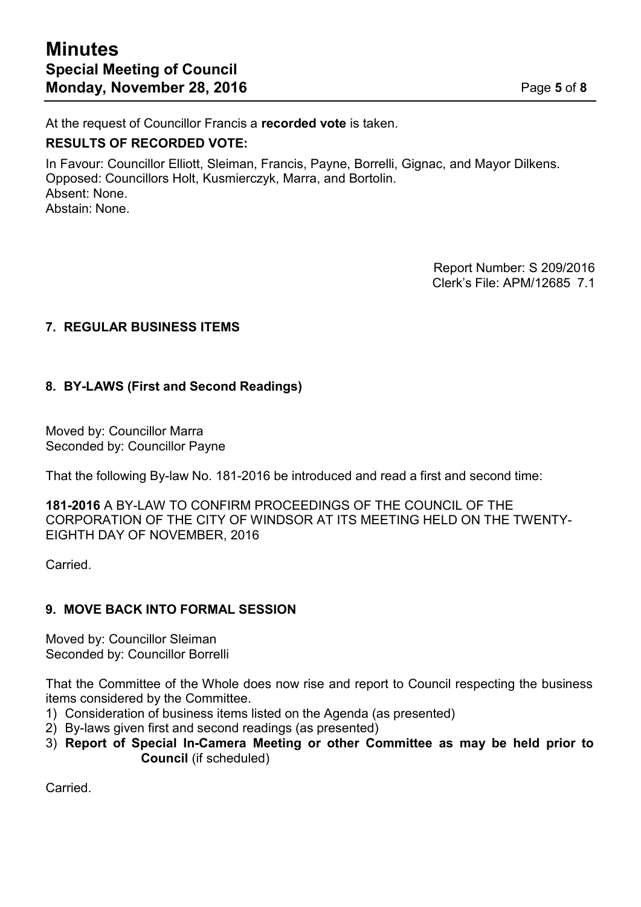At the request of Councillor Francis a **recorded vote** is taken.

## **RESULTS OF RECORDED VOTE:**

In Favour: Councillor Elliott, Sleiman, Francis, Payne, Borrelli, Gignac, and Mayor Dilkens. Opposed: Councillors Holt, Kusmierczyk, Marra, and Bortolin. Absent: None. Abstain: None.

> Report Number: S 209/2016 Clerk's File: APM/12685 7.1

# **7. REGULAR BUSINESS ITEMS**

## **8. BY-LAWS (First and Second Readings)**

Moved by: Councillor Marra Seconded by: Councillor Payne

That the following By-law No. 181-2016 be introduced and read a first and second time:

**181-2016** A BY-LAW TO CONFIRM PROCEEDINGS OF THE COUNCIL OF THE CORPORATION OF THE CITY OF WINDSOR AT ITS MEETING HELD ON THE TWENTY-EIGHTH DAY OF NOVEMBER, 2016

Carried.

# **9. MOVE BACK INTO FORMAL SESSION**

Moved by: Councillor Sleiman Seconded by: Councillor Borrelli

That the Committee of the Whole does now rise and report to Council respecting the business items considered by the Committee.

- 1) Consideration of business items listed on the Agenda (as presented)
- 2) By-laws given first and second readings (as presented)
- 3) **Report of Special In-Camera Meeting or other Committee as may be held prior to Council** (if scheduled)

Carried.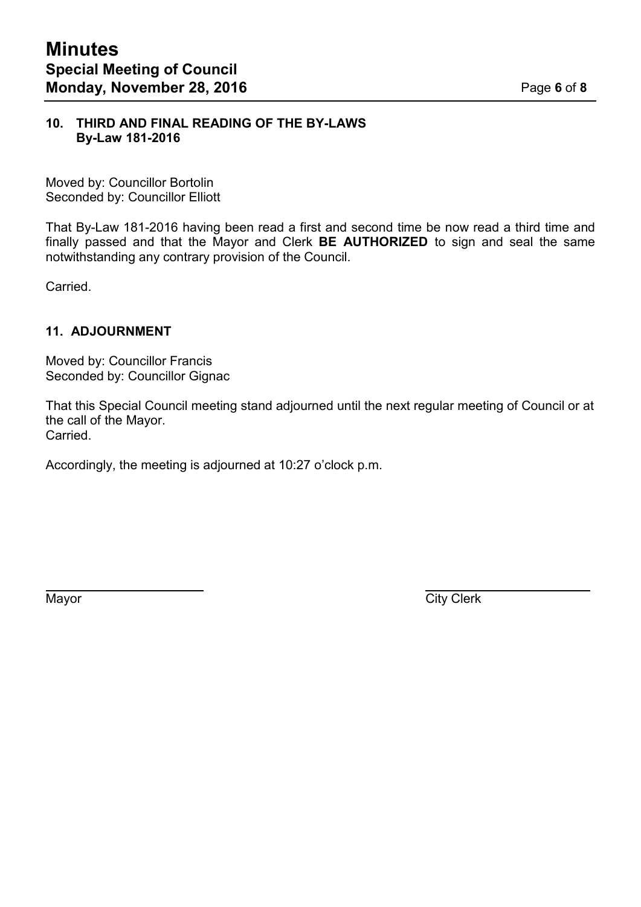#### **10. THIRD AND FINAL READING OF THE BY-LAWS By-Law 181-2016**

Moved by: Councillor Bortolin Seconded by: Councillor Elliott

That By-Law 181-2016 having been read a first and second time be now read a third time and finally passed and that the Mayor and Clerk **BE AUTHORIZED** to sign and seal the same notwithstanding any contrary provision of the Council.

Carried.

# **11. ADJOURNMENT**

Moved by: Councillor Francis Seconded by: Councillor Gignac

That this Special Council meeting stand adjourned until the next regular meeting of Council or at the call of the Mayor. Carried.

Accordingly, the meeting is adjourned at 10:27 o'clock p.m.

Mayor City Clerk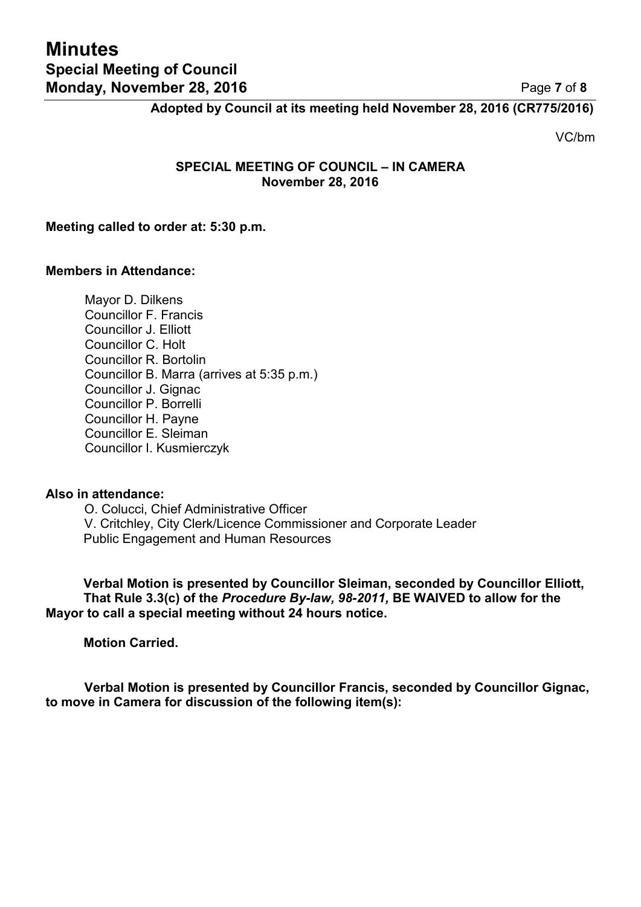# **Adopted by Council at its meeting held November 28, 2016 (CR775/2016)**

VC/bm

## **SPECIAL MEETING OF COUNCIL – IN CAMERA November 28, 2016**

#### **Meeting called to order at: 5:30 p.m.**

#### **Members in Attendance:**

Mayor D. Dilkens Councillor F. Francis Councillor J. Elliott Councillor C. Holt Councillor R. Bortolin Councillor B. Marra (arrives at 5:35 p.m.) Councillor J. Gignac Councillor P. Borrelli Councillor H. Payne Councillor E. Sleiman Councillor I. Kusmierczyk

#### **Also in attendance:**

O. Colucci, Chief Administrative Officer V. Critchley, City Clerk/Licence Commissioner and Corporate Leader Public Engagement and Human Resources

**Verbal Motion is presented by Councillor Sleiman, seconded by Councillor Elliott, That Rule 3.3(c) of the** *Procedure By-law, 98-2011,* **BE WAIVED to allow for the Mayor to call a special meeting without 24 hours notice.**

**Motion Carried.**

**Verbal Motion is presented by Councillor Francis, seconded by Councillor Gignac, to move in Camera for discussion of the following item(s):**